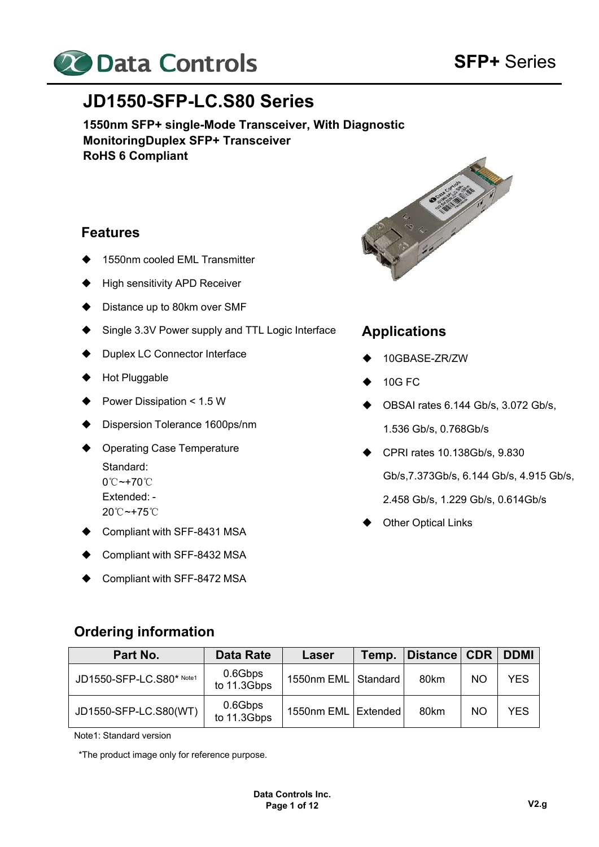

# **JD1550-SFP-LC.S80 Series**

**1550nm SFP+ single-Mode Transceiver, With Diagnostic Monitoring Duplex SFP+ Transceiver RoHS 6 Compliant** 

#### **Features**

- 1550nm cooled EML Transmitter
- ♦ High sensitivity APD Receiver
- ◆ Distance up to 80km over SMF
- Single 3.3V Power supply and TTL Logic Interface
- ◆ Duplex LC Connector Interface
- Hot Pluggable
- ◆ Power Dissipation < 1.5 W
- Dispersion Tolerance 1600ps/nm
- ♦ Operating Case Temperature Standard: 0℃~+70℃ Extended: - 20℃~+75℃
- Compliant with SFF-8431 MSA
- Compliant with SFF-8432 MSA
- Compliant with SFF-8472 MSA



### **Applications**

- 10GBASE-ZR/ZW
- 10G FC
- $\blacklozenge$  OBSAI rates 6.144 Gb/s, 3.072 Gb/s, 1.536 Gb/s, 0.768Gb/s
- ◆ CPRI rates 10.138Gb/s, 9.830 Gb/s,7.373Gb/s, 6.144 Gb/s, 4.915 Gb/s,
	- 2.458 Gb/s, 1.229 Gb/s, 0.614Gb/s
- Other Optical Links

#### **Ordering information**

| Part No.                 | Data Rate              | Laser                 | Temp. | Distance CDR |           | <b>DDMI</b> |
|--------------------------|------------------------|-----------------------|-------|--------------|-----------|-------------|
| JD1550-SFP-LC.S80* Note1 | 0.6Gbps<br>to 11.3Gbps | 1550nm EML Standard   |       | 80km         | <b>NO</b> | YES         |
| JD1550-SFP-LC.S80(WT)    | 0.6Gbps<br>to 11.3Gbps | 1550nm EML   Extended |       | 80km         | <b>NO</b> | <b>YES</b>  |

Note1: Standard version

\*The product image only for reference purpose.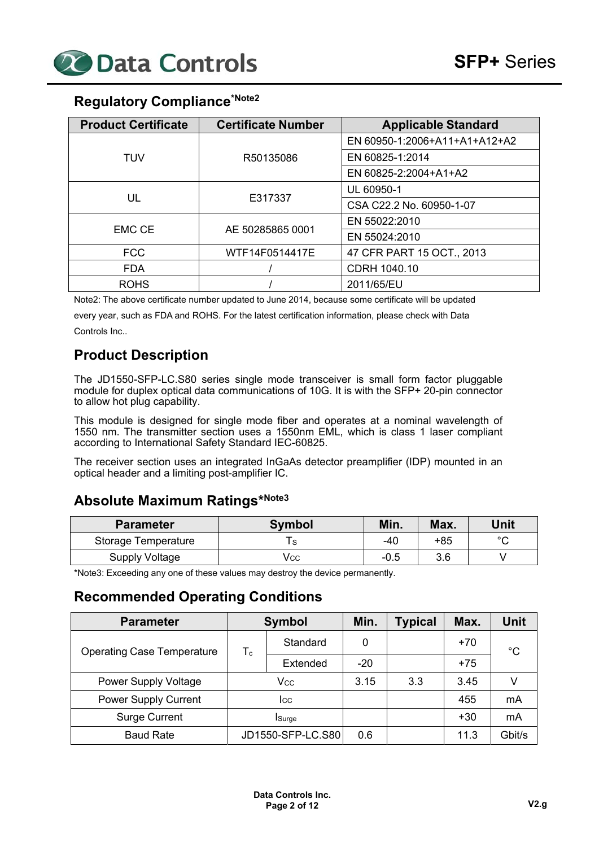

# **Regulatory Compliance\*Note2**

| <b>Product Certificate</b> | <b>Certificate Number</b> | <b>Applicable Standard</b>    |
|----------------------------|---------------------------|-------------------------------|
|                            |                           | EN 60950-1:2006+A11+A1+A12+A2 |
| TUV                        | R50135086                 | EN 60825-1:2014               |
|                            |                           | EN 60825-2:2004+A1+A2         |
|                            |                           | UL 60950-1                    |
| UL                         | E317337                   | CSA C22.2 No. 60950-1-07      |
|                            |                           | EN 55022:2010                 |
| <b>EMC CE</b>              | AE 50285865 0001          | EN 55024:2010                 |
| <b>FCC</b>                 | WTF14F0514417E            | 47 CFR PART 15 OCT., 2013     |
| <b>FDA</b>                 |                           | CDRH 1040.10                  |
| <b>ROHS</b>                |                           | 2011/65/EU                    |

Note2: The above certificate number updated to June 2014, because some certificate will be updated

every year, such as FDA and ROHS. For the latest certification information, please check with Data Controls Inc..

# **Product Description**

The JD1550-SFP-LC.S80 series single mode transceiver is small form factor pluggable module for duplex optical data communications of 10G. It is with the SFP+ 20-pin connector to allow hot plug capability.

This module is designed for single mode fiber and operates at a nominal wavelength of 1550 nm. The transmitter section uses a 1550nm EML, which is class 1 laser compliant according to International Safety Standard IEC-60825.

The receiver section uses an integrated InGaAs detector preamplifier (IDP) mounted in an optical header and a limiting post-amplifier IC.

# **Absolute Maximum Ratings\*Note3**

| <b>Parameter</b>    | <b>Symbol</b> | Min.   | Max. | Unit   |
|---------------------|---------------|--------|------|--------|
| Storage Temperature |               | -40    | +85  | $\sim$ |
| Supply Voltage      | Vcc           | $-0.5$ | 3.6  |        |

\*Note3: Exceeding any one of these values may destroy the device permanently.

#### **Recommended Operating Conditions**

| <b>Parameter</b>                  | <b>Symbol</b> |                   | Min.  | <b>Typical</b> | Max.  | Unit   |
|-----------------------------------|---------------|-------------------|-------|----------------|-------|--------|
| <b>Operating Case Temperature</b> | $T_c$         | Standard          | 0     |                | $+70$ | °C     |
|                                   |               | Extended          | $-20$ |                | $+75$ |        |
| <b>Power Supply Voltage</b>       | Vcc           |                   | 3.15  | 3.3            | 3.45  |        |
| <b>Power Supply Current</b>       | lcc           |                   |       |                | 455   | mA     |
| <b>Surge Current</b>              |               | <b>Surge</b>      |       |                | $+30$ | mA     |
| <b>Baud Rate</b>                  |               | JD1550-SFP-LC.S80 | 0.6   |                | 11.3  | Gbit/s |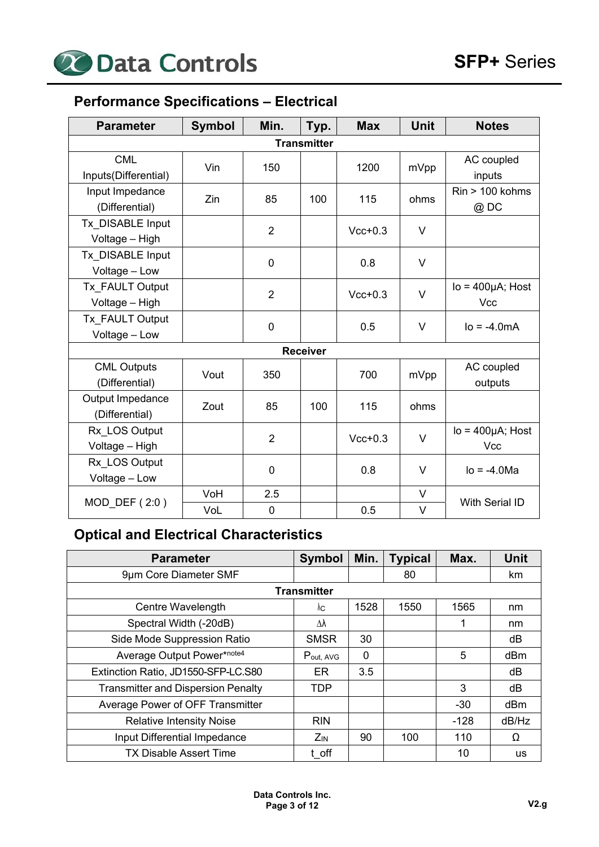

# **Performance Specifications – Electrical**

| <b>Parameter</b>                     | <b>Symbol</b> | Min.           | Typ.               | <b>Max</b> | <b>Unit</b> | <b>Notes</b>                   |
|--------------------------------------|---------------|----------------|--------------------|------------|-------------|--------------------------------|
|                                      |               |                | <b>Transmitter</b> |            |             |                                |
| <b>CML</b><br>Inputs(Differential)   | Vin           | 150            |                    | 1200       | mVpp        | AC coupled<br>inputs           |
| Input Impedance<br>(Differential)    | Zin           | 85             | 100                | 115        | ohms        | $Rin > 100$ kohms<br>@DC       |
| Tx DISABLE Input<br>Voltage - High   |               | $\overline{2}$ |                    | $Vcc+0.3$  | $\vee$      |                                |
| Tx DISABLE Input<br>Voltage - Low    |               | $\mathbf 0$    |                    | 0.8        | $\vee$      |                                |
| Tx FAULT Output<br>Voltage - High    |               | $\overline{2}$ |                    | $Vcc+0.3$  | V           | $Io = 400 \mu A$ ; Host<br>Vcc |
| Tx FAULT Output<br>Voltage - Low     |               | $\mathbf 0$    |                    | 0.5        | V           | $IO = -4.0mA$                  |
|                                      |               |                | <b>Receiver</b>    |            |             |                                |
| <b>CML Outputs</b><br>(Differential) | Vout          | 350            |                    | 700        | mVpp        | AC coupled<br>outputs          |
| Output Impedance<br>(Differential)   | Zout          | 85             | 100                | 115        | ohms        |                                |
| Rx LOS Output<br>Voltage - High      |               | $\overline{2}$ |                    | $Vcc+0.3$  | $\vee$      | $Io = 400 \mu A$ ; Host<br>Vcc |
| Rx LOS Output<br>Voltage - Low       |               | 0              |                    | 0.8        | V           | $I_0 = -4.0$ Ma                |
| MOD_DEF (2:0)                        | VoH           | 2.5            |                    |            | V           | With Serial ID                 |
|                                      | VoL           | 0              |                    | 0.5        | V           |                                |

# **Optical and Electrical Characteristics**

| <b>Parameter</b>                          | <b>Symbol</b>      | Min.     | <b>Typical</b> | Max.   | Unit            |
|-------------------------------------------|--------------------|----------|----------------|--------|-----------------|
| 9µm Core Diameter SMF                     |                    |          | 80             |        | km              |
|                                           | <b>Transmitter</b> |          |                |        |                 |
| Centre Wavelength                         | λс                 | 1528     | 1550           | 1565   | nm              |
| Spectral Width (-20dB)                    | Δλ                 |          |                | 1      | nm              |
| Side Mode Suppression Ratio               | <b>SMSR</b>        | 30       |                |        | dB              |
| Average Output Power*note4                | Pout, AVG          | $\Omega$ |                | 5      | dB <sub>m</sub> |
| Extinction Ratio, JD1550-SFP-LC.S80       | ER.                | 3.5      |                |        | dB              |
| <b>Transmitter and Dispersion Penalty</b> | <b>TDP</b>         |          |                | 3      | dB              |
| Average Power of OFF Transmitter          |                    |          |                | $-30$  | dBm             |
| <b>Relative Intensity Noise</b>           | <b>RIN</b>         |          |                | $-128$ | dB/Hz           |
| Input Differential Impedance              | $Z_{IN}$           | 90       | 100            | 110    | Ω               |
| <b>TX Disable Assert Time</b>             | t off              |          |                | 10     | <b>us</b>       |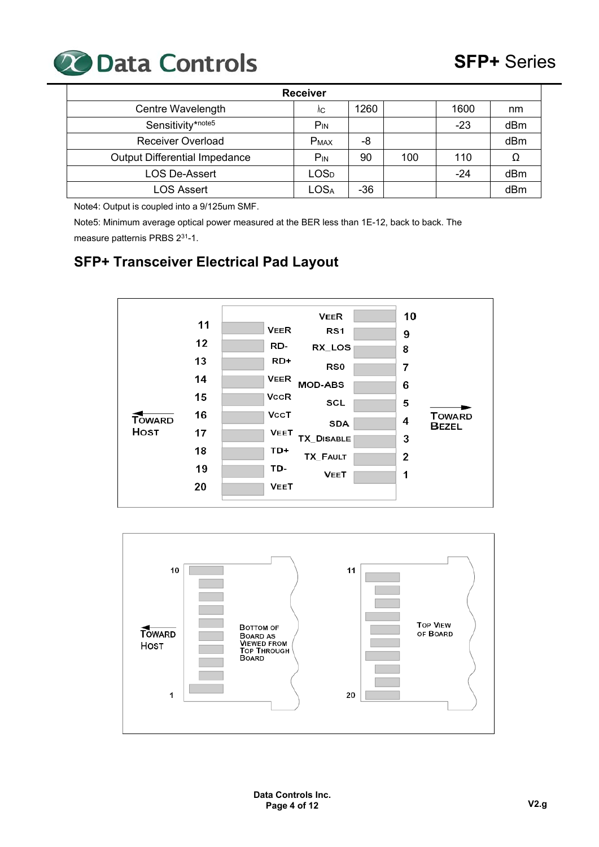

| <b>Receiver</b>                      |                             |       |     |       |     |  |  |  |  |
|--------------------------------------|-----------------------------|-------|-----|-------|-----|--|--|--|--|
| Centre Wavelength                    | ٨C                          | 1260  |     | 1600  | nm  |  |  |  |  |
| Sensitivity*note5                    | $P_{IN}$                    |       |     | $-23$ | dBm |  |  |  |  |
| <b>Receiver Overload</b>             | <b>PMAX</b>                 | -8    |     |       | dBm |  |  |  |  |
| <b>Output Differential Impedance</b> | $P_{IN}$                    | 90    | 100 | 110   |     |  |  |  |  |
| <b>LOS De-Assert</b>                 | LOS <sub>D</sub>            |       |     | $-24$ | dBm |  |  |  |  |
| <b>LOS Assert</b>                    | $\mathsf{LOS}_{\mathsf{A}}$ | $-36$ |     |       | dBm |  |  |  |  |

Note4: Output is coupled into a 9/125um SMF.

Note5: Minimum average optical power measured at the BER less than 1E-12, back to back. The measure patternis PRBS 231-1.

# **SFP+ Transceiver Electrical Pad Layout**



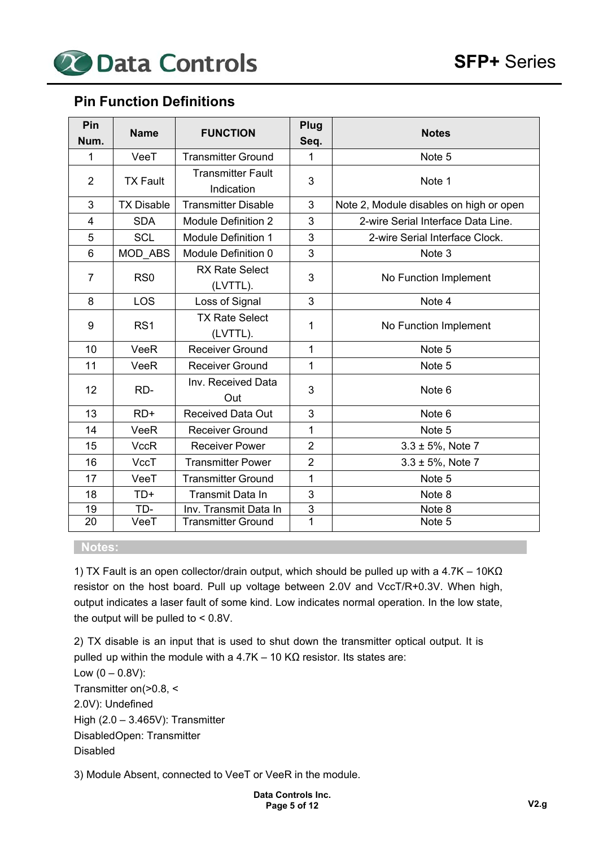

### **Pin Function Definitions**

| Pin<br>Num.    | <b>Name</b>       | <b>FUNCTION</b>                        | Plug<br>Seq.   | <b>Notes</b>                            |
|----------------|-------------------|----------------------------------------|----------------|-----------------------------------------|
| 1              | VeeT              | <b>Transmitter Ground</b>              | 1              | Note 5                                  |
| $\overline{2}$ | <b>TX Fault</b>   | <b>Transmitter Fault</b><br>Indication | 3              | Note 1                                  |
| 3              | <b>TX Disable</b> | <b>Transmitter Disable</b>             | 3              | Note 2, Module disables on high or open |
| 4              | <b>SDA</b>        | <b>Module Definition 2</b>             | 3              | 2-wire Serial Interface Data Line.      |
| 5              | <b>SCL</b>        | <b>Module Definition 1</b>             | 3              | 2-wire Serial Interface Clock.          |
| 6              | MOD_ABS           | Module Definition 0                    | 3              | Note 3                                  |
| $\overline{7}$ | RS <sub>0</sub>   | <b>RX Rate Select</b><br>(LVTTL).      | 3              | No Function Implement                   |
| 8              | LOS               | Loss of Signal                         | 3              | Note 4                                  |
| 9              | RS <sub>1</sub>   | <b>TX Rate Select</b><br>(LVTTL).      | 1              | No Function Implement                   |
| 10             | <b>VeeR</b>       | <b>Receiver Ground</b>                 | 1              | Note 5                                  |
| 11             | VeeR              | <b>Receiver Ground</b>                 | 1              | Note 5                                  |
| 12             | RD-               | Inv. Received Data<br>Out              | 3              | Note 6                                  |
| 13             | $RD+$             | <b>Received Data Out</b>               | 3              | Note 6                                  |
| 14             | VeeR              | <b>Receiver Ground</b>                 | 1              | Note 5                                  |
| 15             | <b>VccR</b>       | <b>Receiver Power</b>                  | $\overline{2}$ | $3.3 \pm 5\%$ , Note 7                  |
| 16             | VccT              | <b>Transmitter Power</b>               | $\overline{2}$ | $3.3 \pm 5%$ , Note 7                   |
| 17             | VeeT              | <b>Transmitter Ground</b>              | 1              | Note 5                                  |
| 18             | $TD+$             | <b>Transmit Data In</b>                | 3              | Note 8                                  |
| 19             | TD-               | Inv. Transmit Data In                  | $\mathsf 3$    | Note 8                                  |
| 20             | VeeT              | <b>Transmitter Ground</b>              | $\overline{1}$ | Note 5                                  |

#### **Notes:**

1) TX Fault is an open collector/drain output, which should be pulled up with a 4.7K – 10K $\Omega$ resistor on the host board. Pull up voltage between 2.0V and VccT/R+0.3V. When high, output indicates a laser fault of some kind. Low indicates normal operation. In the low state, the output will be pulled to < 0.8V.

2) TX disable is an input that is used to shut down the transmitter optical output. It is pulled up within the module with a 4.7K – 10 KΩ resistor. Its states are: Low  $(0 - 0.8V)$ : Transmitter on  $(>0.8, <$ 2.0V): Undefined High (2.0 – 3.465V): Transmitter Disabled Open: Transmitter Disabled

3) Module Absent, connected to VeeT or VeeR in the module.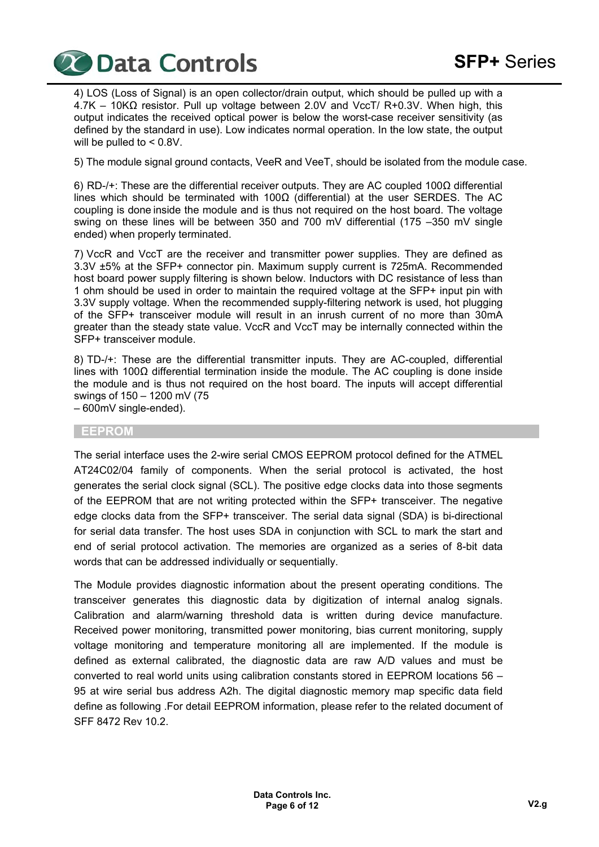

4) LOS (Loss of Signal) is an open collector/drain output, which should be pulled up with a 4.7K – 10KΩ resistor. Pull up voltage between 2.0V and VccT/ R+0.3V. When high, this output indicates the received optical power is below the worst-case receiver sensitivity (as defined by the standard in use). Low indicates normal operation. In the low state, the output will be pulled to < 0.8V.

5) The module signal ground contacts, VeeR and VeeT, should be isolated from the module case.

6) RD-/+: These are the differential receiver outputs. They are AC coupled 100Ω differential lines which should be terminated with 100Ω (differential) at the user SERDES. The AC coupling is done inside the module and is thus not required on the host board. The voltage swing on these lines will be between 350 and 700 mV differential (175 –350 mV single ended) when properly terminated.

7) VccR and VccT are the receiver and transmitter power supplies. They are defined as 3.3V ±5% at the SFP+ connector pin. Maximum supply current is 725mA. Recommended host board power supply filtering is shown below. Inductors with DC resistance of less than 1 ohm should be used in order to maintain the required voltage at the SFP+ input pin with 3.3V supply voltage. When the recommended supply-filtering network is used, hot plugging of the SFP+ transceiver module will result in an inrush current of no more than 30mA greater than the steady state value. VccR and VccT may be internally connected within the SFP+ transceiver module.

8) TD-/+: These are the differential transmitter inputs. They are AC-coupled, differential lines with 100 $\Omega$  differential termination inside the module. The AC coupling is done inside the module and is thus not required on the host board. The inputs will accept differential swings of 150 – 1200 mV (75

– 600mV single-ended).

#### **EEPROM**

The serial interface uses the 2-wire serial CMOS EEPROM protocol defined for the ATMEL AT24C02/04 family of components. When the serial protocol is activated, the host generates the serial clock signal (SCL). The positive edge clocks data into those segments of the EEPROM that are not writing protected within the SFP+ transceiver. The negative edge clocks data from the SFP+ transceiver. The serial data signal (SDA) is bi-directional for serial data transfer. The host uses SDA in conjunction with SCL to mark the start and end of serial protocol activation. The memories are organized as a series of 8-bit data words that can be addressed individually or sequentially.

The Module provides diagnostic information about the present operating conditions. The transceiver generates this diagnostic data by digitization of internal analog signals. Calibration and alarm/warning threshold data is written during device manufacture. Received power monitoring, transmitted power monitoring, bias current monitoring, supply voltage monitoring and temperature monitoring all are implemented. If the module is defined as external calibrated, the diagnostic data are raw A/D values and must be converted to real world units using calibration constants stored in EEPROM locations 56 – 95 at wire serial bus address A2h. The digital diagnostic memory map specific data field define as following .For detail EEPROM information, please refer to the related document of SFF 8472 Rev 10.2.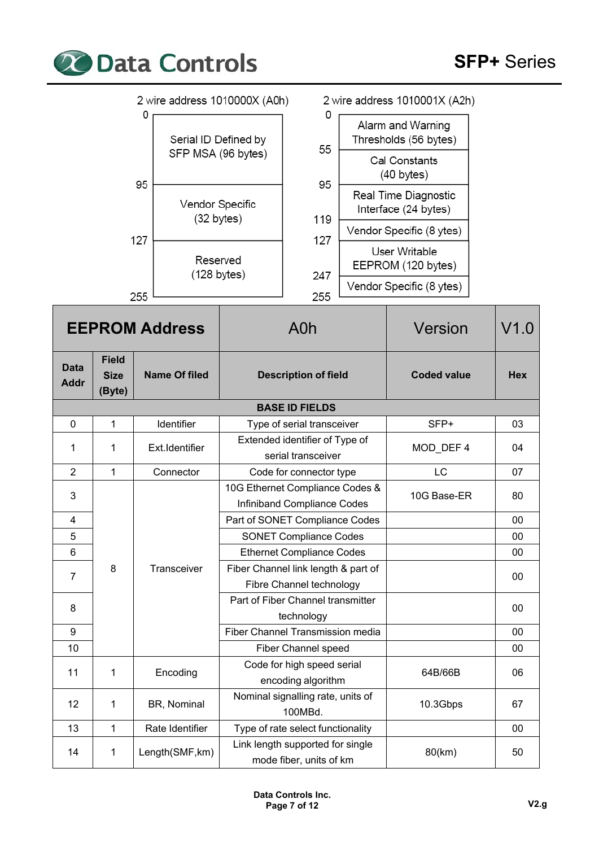

|                            |                                                 | 2 wire address 1010000X (A0h)                 |                                                                 | 2 wire address 1010001X (A2h)                                                       |            |
|----------------------------|-------------------------------------------------|-----------------------------------------------|-----------------------------------------------------------------|-------------------------------------------------------------------------------------|------------|
|                            | 0<br>Serial ID Defined by<br>SFP MSA (96 bytes) |                                               | 0<br>55                                                         | Alarm and Warning<br>Thresholds (56 bytes)<br>Cal Constants<br>$(40 \text{ bytes})$ |            |
|                            |                                                 | 95<br>Vendor Specific<br>$(32 \text{ bytes})$ | 95<br>119                                                       | Real Time Diagnostic<br>Interface (24 bytes)                                        |            |
|                            |                                                 | 127                                           | 127                                                             | Vendor Specific (8 ytes)                                                            |            |
|                            |                                                 | Reserved<br>$(128 \text{ bytes})$             | 247                                                             | User Writable<br>EEPROM (120 bytes)                                                 |            |
|                            |                                                 | 255                                           | 255                                                             | Vendor Specific (8 ytes)                                                            |            |
|                            |                                                 | <b>EEPROM Address</b>                         | A <sub>0</sub> h                                                | <b>Version</b>                                                                      | V1.0       |
| <b>Data</b><br><b>Addr</b> | <b>Field</b><br><b>Size</b><br>(Byte)           | <b>Name Of filed</b>                          | <b>Description of field</b>                                     | <b>Coded value</b>                                                                  | <b>Hex</b> |
|                            |                                                 |                                               | <b>BASE ID FIELDS</b>                                           |                                                                                     |            |
| $\mathbf 0$                | $\mathbf{1}$                                    | Identifier                                    | Type of serial transceiver                                      | SFP+                                                                                | 03         |
| 1                          | 1                                               | Ext.Identifier                                | Extended identifier of Type of<br>serial transceiver            | MOD_DEF 4                                                                           | 04         |
| $\overline{2}$             | 1                                               | Connector                                     | Code for connector type                                         | LC                                                                                  | 07         |
| $\mathbf{3}$               |                                                 |                                               | 10G Ethernet Compliance Codes &<br>Infiniband Compliance Codes  | 10G Base-ER                                                                         | 80         |
| 4                          |                                                 |                                               | Part of SONET Compliance Codes                                  |                                                                                     | $00\,$     |
| 5                          |                                                 |                                               | <b>SONET Compliance Codes</b>                                   |                                                                                     | $00\,$     |
| 6                          |                                                 |                                               | <b>Ethernet Compliance Codes</b>                                |                                                                                     | 00         |
| $\overline{7}$             | 8                                               | Transceiver                                   | Fiber Channel link length & part of<br>Fibre Channel technology |                                                                                     | 00         |
| 8                          |                                                 |                                               | Part of Fiber Channel transmitter<br>technology                 |                                                                                     | $00\,$     |
| 9                          |                                                 |                                               | Fiber Channel Transmission media                                |                                                                                     | 00         |
| 10                         |                                                 |                                               | Fiber Channel speed                                             |                                                                                     | 00         |
| 11                         | 1                                               | Encoding                                      | Code for high speed serial<br>encoding algorithm                | 64B/66B                                                                             | 06         |
| 12                         | 1                                               | BR, Nominal                                   | Nominal signalling rate, units of<br>100MBd.                    | 10.3Gbps                                                                            | 67         |
| 13                         | $\mathbf{1}$                                    | Rate Identifier                               | Type of rate select functionality                               |                                                                                     | 00         |
| 14                         | 1                                               | Length(SMF, km)                               | Link length supported for single<br>mode fiber, units of km     | 80(km)                                                                              | 50         |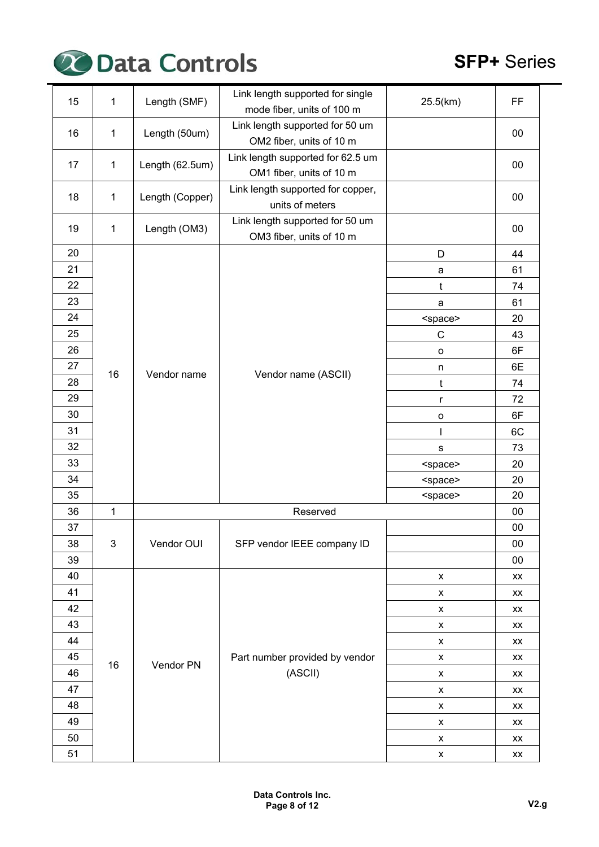

| 15 | 1              | Length (SMF)                       | Link length supported for single  | 25.5(km)            | FF                     |
|----|----------------|------------------------------------|-----------------------------------|---------------------|------------------------|
|    |                |                                    | mode fiber, units of 100 m        |                     |                        |
| 16 | $\mathbf 1$    | Length (50um)                      | Link length supported for 50 um   |                     | 00                     |
|    |                |                                    | OM2 fiber, units of 10 m          |                     |                        |
| 17 | $\mathbf 1$    | Length (62.5um)                    | Link length supported for 62.5 um |                     | 00                     |
|    |                |                                    | OM1 fiber, units of 10 m          |                     |                        |
| 18 | $\mathbf 1$    | Length (Copper)                    | Link length supported for copper, |                     | $00\,$                 |
|    |                |                                    | units of meters                   |                     |                        |
| 19 | $\mathbf 1$    | Length (OM3)                       | Link length supported for 50 um   |                     | 00                     |
|    |                |                                    | OM3 fiber, units of 10 m          |                     |                        |
| 20 |                |                                    |                                   | D                   | 44                     |
| 21 |                |                                    |                                   | a                   | 61                     |
| 22 |                |                                    | t                                 | 74                  |                        |
| 23 |                |                                    |                                   | a                   | 61                     |
| 24 |                |                                    |                                   | <space></space>     | 20                     |
| 25 |                |                                    |                                   | C                   | 43                     |
| 26 |                |                                    |                                   | $\mathsf{o}\xspace$ | 6F                     |
| 27 | 16             |                                    |                                   | n                   | 6E                     |
| 28 |                | Vendor name<br>Vendor name (ASCII) |                                   | t                   | 74                     |
| 29 |                |                                    | r                                 | 72                  |                        |
| 30 |                |                                    | $\mathsf{o}$                      | 6F                  |                        |
| 31 |                |                                    |                                   | 6C                  |                        |
| 32 |                |                                    |                                   | $\mathbf S$         | 73                     |
| 33 |                |                                    |                                   | <space></space>     | 20                     |
| 34 |                |                                    |                                   | <space></space>     | 20                     |
| 35 |                |                                    |                                   | <space></space>     | 20                     |
| 36 | $\mathbf{1}$   |                                    | Reserved                          |                     | $00\,$                 |
| 37 |                |                                    |                                   |                     | $00\,$                 |
| 38 | $\mathfrak{B}$ | Vendor OUI                         | SFP vendor IEEE company ID        |                     | 00                     |
| 39 |                |                                    |                                   |                     | 00                     |
| 40 |                |                                    |                                   | X                   | XX                     |
| 41 |                |                                    |                                   | $\pmb{\mathsf{x}}$  | XX                     |
| 42 |                |                                    |                                   | X                   | XX                     |
| 43 |                |                                    |                                   | X                   | XX                     |
| 44 |                |                                    |                                   | X                   | XX                     |
| 45 |                |                                    | Part number provided by vendor    | X                   | XX                     |
| 46 | 16             | Vendor PN                          | (ASCII)                           | X                   | XX                     |
| 47 |                |                                    |                                   | X                   | XX                     |
| 48 |                |                                    |                                   | X                   | XX                     |
| 49 |                |                                    |                                   | $\pmb{\mathsf{x}}$  | XX                     |
| 50 |                |                                    |                                   | $\pmb{\mathsf{x}}$  | XX                     |
| 51 |                |                                    |                                   | $\pmb{\mathsf{x}}$  | $\mathsf{X}\mathsf{X}$ |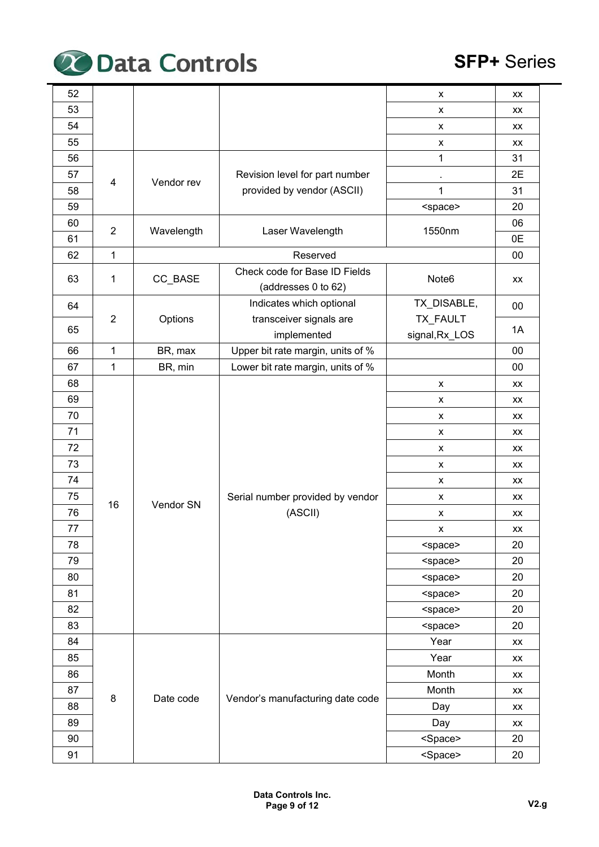

| 52 |                            |            |                                                      | X                 | XX                     |    |
|----|----------------------------|------------|------------------------------------------------------|-------------------|------------------------|----|
| 53 |                            |            |                                                      | X                 | <b>XX</b>              |    |
| 54 |                            |            |                                                      | X                 | XX                     |    |
| 55 |                            |            |                                                      | X                 | XX                     |    |
| 56 |                            |            |                                                      | 1                 | 31                     |    |
| 57 |                            |            | Revision level for part number                       |                   | 2E                     |    |
| 58 | 4                          | Vendor rev | provided by vendor (ASCII)                           | 1                 | 31                     |    |
| 59 |                            |            |                                                      | <space></space>   | 20                     |    |
| 60 | $\overline{2}$             | Wavelength |                                                      | 1550nm            | 06                     |    |
| 61 |                            |            | Laser Wavelength                                     |                   | 0E                     |    |
| 62 | $\mathbf 1$                |            | Reserved                                             |                   | 00                     |    |
| 63 | $\mathbf{1}$               | CC_BASE    | Check code for Base ID Fields<br>(addresses 0 to 62) | Note <sub>6</sub> | XX                     |    |
| 64 |                            |            | Indicates which optional                             | TX_DISABLE,       | 00                     |    |
|    | 2                          | Options    | transceiver signals are                              | TX_FAULT          |                        |    |
| 65 |                            |            | implemented                                          | signal, Rx_LOS    | 1A                     |    |
| 66 | 1                          | BR, max    | Upper bit rate margin, units of %                    |                   | 00                     |    |
| 67 | 1                          | BR, min    | Lower bit rate margin, units of %                    |                   | 00                     |    |
| 68 |                            |            |                                                      | X                 | XX                     |    |
| 69 |                            |            | X                                                    | XX                |                        |    |
| 70 |                            |            |                                                      | X                 | XX                     |    |
| 71 |                            |            |                                                      |                   | X                      | XX |
| 72 |                            |            |                                                      | X                 | <b>XX</b>              |    |
| 73 |                            |            |                                                      | X                 | XX                     |    |
| 74 |                            |            |                                                      | X                 | XX                     |    |
| 75 |                            | Vendor SN  | Serial number provided by vendor                     | X                 | XX                     |    |
| 76 |                            |            | (ASCII)                                              | X                 | XX                     |    |
| 77 |                            |            |                                                      | X                 | XX                     |    |
| 78 |                            |            |                                                      | <space></space>   | 20                     |    |
| 79 |                            |            |                                                      | <space></space>   | 20                     |    |
| 80 |                            |            |                                                      | <space></space>   | 20                     |    |
| 81 |                            |            |                                                      | <space></space>   | 20                     |    |
| 82 |                            |            |                                                      | <space></space>   | 20                     |    |
| 83 |                            |            |                                                      | <space></space>   | 20                     |    |
| 84 |                            |            |                                                      | Year              | XX                     |    |
| 85 |                            |            |                                                      | Year              | $\mathsf{X}\mathsf{X}$ |    |
| 86 |                            |            |                                                      | Month             | XX                     |    |
| 87 |                            |            | Vendor's manufacturing date code                     | Month             | XX                     |    |
| 88 |                            |            |                                                      | Day               | XX                     |    |
| 89 | 16<br>$\bf 8$<br>Date code |            |                                                      | Day               | XX                     |    |
| 90 |                            |            | <space></space>                                      | 20                |                        |    |
| 91 |                            |            |                                                      | <space></space>   | 20                     |    |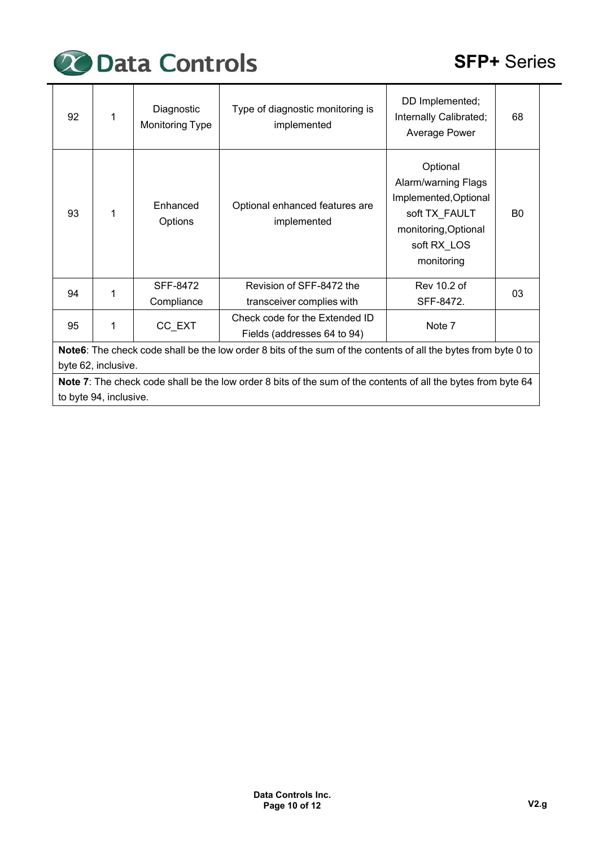

| 92 | 1                                                                                                             | Diagnostic<br>Monitoring Type | Type of diagnostic monitoring is<br>implemented                                                                | DD Implemented;<br>Internally Calibrated;<br>Average Power                                                                     | 68             |  |  |  |  |
|----|---------------------------------------------------------------------------------------------------------------|-------------------------------|----------------------------------------------------------------------------------------------------------------|--------------------------------------------------------------------------------------------------------------------------------|----------------|--|--|--|--|
| 93 | 1                                                                                                             | Enhanced<br>Options           | Optional enhanced features are<br>implemented                                                                  | Optional<br>Alarm/warning Flags<br>Implemented, Optional<br>soft TX_FAULT<br>monitoring, Optional<br>soft RX LOS<br>monitoring | B <sub>0</sub> |  |  |  |  |
| 94 | 1                                                                                                             | SFF-8472<br>Compliance        | Revision of SFF-8472 the<br>transceiver complies with                                                          | Rev 10.2 of<br>SFF-8472.                                                                                                       | 03             |  |  |  |  |
| 95 | 1                                                                                                             | CC_EXT                        | Check code for the Extended ID<br>Fields (addresses 64 to 94)                                                  | Note 7                                                                                                                         |                |  |  |  |  |
|    |                                                                                                               |                               | Note6: The check code shall be the low order 8 bits of the sum of the contents of all the bytes from byte 0 to |                                                                                                                                |                |  |  |  |  |
|    | byte 62, inclusive.                                                                                           |                               |                                                                                                                |                                                                                                                                |                |  |  |  |  |
|    | Note 7: The check code shall be the low order 8 bits of the sum of the contents of all the bytes from byte 64 |                               |                                                                                                                |                                                                                                                                |                |  |  |  |  |
|    | to byte 94, inclusive.                                                                                        |                               |                                                                                                                |                                                                                                                                |                |  |  |  |  |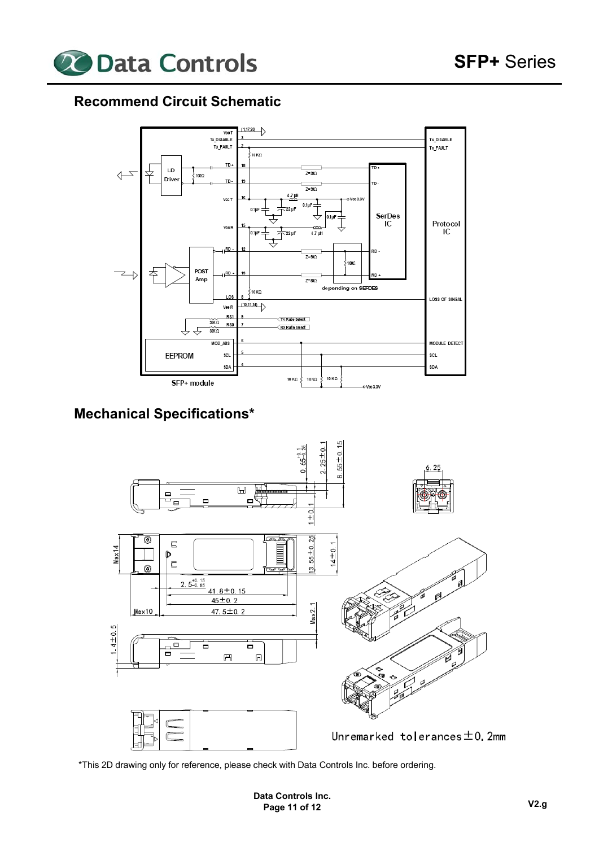

# **Recommend Circuit Schematic**



# **Mechanical Specifications\***



\*This 2D drawing only for reference, please check with Data Controls Inc. before ordering.